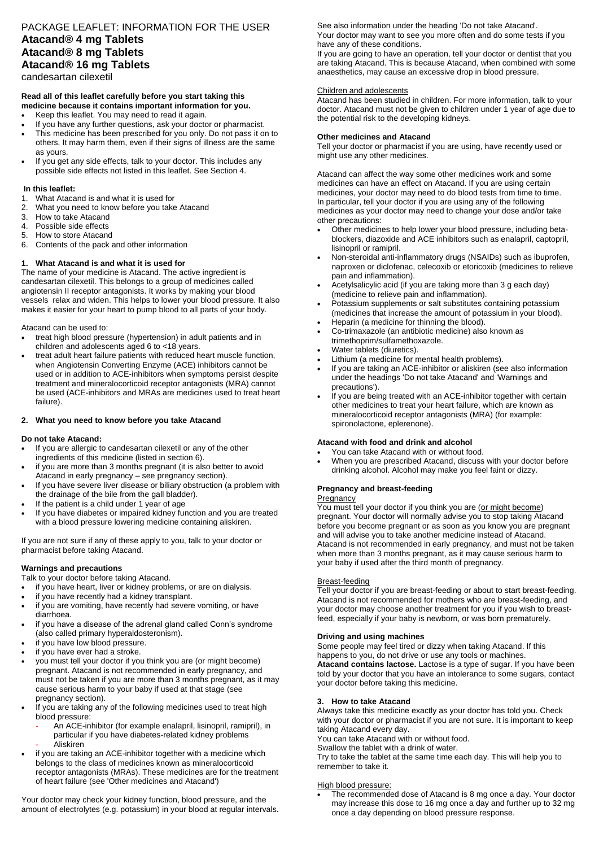# PACKAGE LEAFLET: INFORMATION FOR THE USER **Atacand® 4 mg Tablets Atacand® 8 mg Tablets Atacand® 16 mg Tablets**

candesartan cilexetil

#### **Read all of this leaflet carefully before you start taking this medicine because it contains important information for you.**

- Keep this leaflet. You may need to read it again.
- If you have any further questions, ask your doctor or pharmacist.
- This medicine has been prescribed for you only. Do not pass it on to others. It may harm them, even if their signs of illness are the same as yours.
- If you get any side effects, talk to your doctor. This includes any possible side effects not listed in this leaflet. See Section 4.

# **In this leaflet:**

- 1. What Atacand is and what it is used for
- 2. What you need to know before you take Atacand<br>3. How to take Atacand
- 3. How to take Atacand
- Possible side effects
- 5. How to store Atacand
- 6. Contents of the pack and other information

# **1. What Atacand is and what it is used for**

The name of your medicine is Atacand. The active ingredient is candesartan cilexetil. This belongs to a group of medicines called angiotensin II receptor antagonists. It works by making your blood vessels relax and widen. This helps to lower your blood pressure. It also makes it easier for your heart to pump blood to all parts of your body.

Atacand can be used to:

- treat high blood pressure (hypertension) in adult patients and in children and adolescents aged 6 to <18 years.
- treat adult heart failure patients with reduced heart muscle function, when Angiotensin Converting Enzyme (ACE) inhibitors cannot be used or in addition to ACE-inhibitors when symptoms persist despite treatment and mineralocorticoid receptor antagonists (MRA) cannot be used (ACE-inhibitors and MRAs are medicines used to treat heart failure).

# **2. What you need to know before you take Atacand**

### **Do not take Atacand:**

- If you are allergic to candesartan cilexetil or any of the other ingredients of this medicine (listed in section 6).
- if you are more than 3 months pregnant (it is also better to avoid Atacand in early pregnancy – see pregnancy section).
- If you have severe liver disease or biliary obstruction (a problem with the drainage of the bile from the gall bladder).
- If the patient is a child under 1 year of age
- If you have diabetes or impaired kidney function and you are treated with a blood pressure lowering medicine containing aliskiren.

If you are not sure if any of these apply to you, talk to your doctor or pharmacist before taking Atacand.

# **Warnings and precautions**

- Talk to your doctor before taking Atacand.
- if you have heart, liver or kidney problems, or are on dialysis.
- if you have recently had a kidney transplant. if you are vomiting, have recently had severe vomiting, or have
- diarrhoea. if you have a disease of the adrenal gland called Conn's syndrome (also called primary hyperaldosteronism).
- if you have low blood pressure.
- if you have ever had a stroke.
- you must tell your doctor if you think you are (or might become) pregnant. Atacand is not recommended in early pregnancy, and must not be taken if you are more than 3 months pregnant, as it may cause serious harm to your baby if used at that stage (see pregnancy section).
- If you are taking any of the following medicines used to treat high blood pressure:
	- An ACE-inhibitor (for example enalapril, lisinopril, ramipril), in particular if you have diabetes-related kidney problems - Aliskiren
- if you are taking an ACE-inhibitor together with a medicine which belongs to the class of medicines known as mineralocorticoid receptor antagonists (MRAs). These medicines are for the treatment of heart failure (see 'Other medicines and Atacand')

Your doctor may check your kidney function, blood pressure, and the amount of electrolytes (e.g. potassium) in your blood at regular intervals. See also information under the heading 'Do not take Atacand'. Your doctor may want to see you more often and do some tests if you have any of these conditions.

If you are going to have an operation, tell your doctor or dentist that you are taking Atacand. This is because Atacand, when combined with some anaesthetics, may cause an excessive drop in blood pressure.

### Children and adolescents

Atacand has been studied in children. For more information, talk to your doctor. Atacand must not be given to children under 1 year of age due to the potential risk to the developing kidneys.

### **Other medicines and Atacand**

Tell your doctor or pharmacist if you are using, have recently used or might use any other medicines.

Atacand can affect the way some other medicines work and some medicines can have an effect on Atacand. If you are using certain medicines, your doctor may need to do blood tests from time to time. In particular, tell your doctor if you are using any of the following medicines as your doctor may need to change your dose and/or take other precautions:

- Other medicines to help lower your blood pressure, including betablockers, diazoxide and ACE inhibitors such as enalapril, captopril, lisinopril or ramipril.
- Non-steroidal anti-inflammatory drugs (NSAIDs) such as ibuprofen, naproxen or diclofenac, celecoxib or etoricoxib (medicines to relieve pain and inflammation).
- Acetylsalicylic acid (if you are taking more than 3 g each day) (medicine to relieve pain and inflammation).
- Potassium supplements or salt substitutes containing potassium (medicines that increase the amount of potassium in your blood).
- Heparin (a medicine for thinning the blood).
- Co-trimaxazole (an antibiotic medicine) also known as trimethoprim/sulfamethoxazole.
- Water tablets (diuretics).
- Lithium (a medicine for mental health problems).
- If you are taking an ACE-inhibitor or aliskiren (see also information under the headings 'Do not take Atacand' and 'Warnings and precautions').
- If you are being treated with an ACE-inhibitor together with certain other medicines to treat your heart failure, which are known as mineralocorticoid receptor antagonists (MRA) (for example: spironolactone, eplerenone).

### **Atacand with food and drink and alcohol**

- You can take Atacand with or without food.
- When you are prescribed Atacand, discuss with your doctor before drinking alcohol. Alcohol may make you feel faint or dizzy.

# **Pregnancy and breast-feeding**

# **Pregnancy**

You must tell your doctor if you think you are (or might become) pregnant. Your doctor will normally advise you to stop taking Atacand before you become pregnant or as soon as you know you are pregnant and will advise you to take another medicine instead of Atacand. Atacand is not recommended in early pregnancy, and must not be taken when more than 3 months pregnant, as it may cause serious harm to your baby if used after the third month of pregnancy.

# Breast-feeding

Tell your doctor if you are breast-feeding or about to start breast-feeding. Atacand is not recommended for mothers who are breast-feeding, and your doctor may choose another treatment for you if you wish to breastfeed, especially if your baby is newborn, or was born prematurely.

# **Driving and using machines**

Some people may feel tired or dizzy when taking Atacand. If this happens to you, do not drive or use any tools or machines. **Atacand contains lactose.** Lactose is a type of sugar. If you have been told by your doctor that you have an intolerance to some sugars, contact your doctor before taking this medicine.

# **3. How to take Atacand**

Always take this medicine exactly as your doctor has told you. Check with your doctor or pharmacist if you are not sure. It is important to keep taking Atacand every day.

You can take Atacand with or without food.

Swallow the tablet with a drink of water.

Try to take the tablet at the same time each day. This will help you to remember to take it.

### High blood pressure:

 The recommended dose of Atacand is 8 mg once a day. Your doctor may increase this dose to 16 mg once a day and further up to 32 mg once a day depending on blood pressure response.